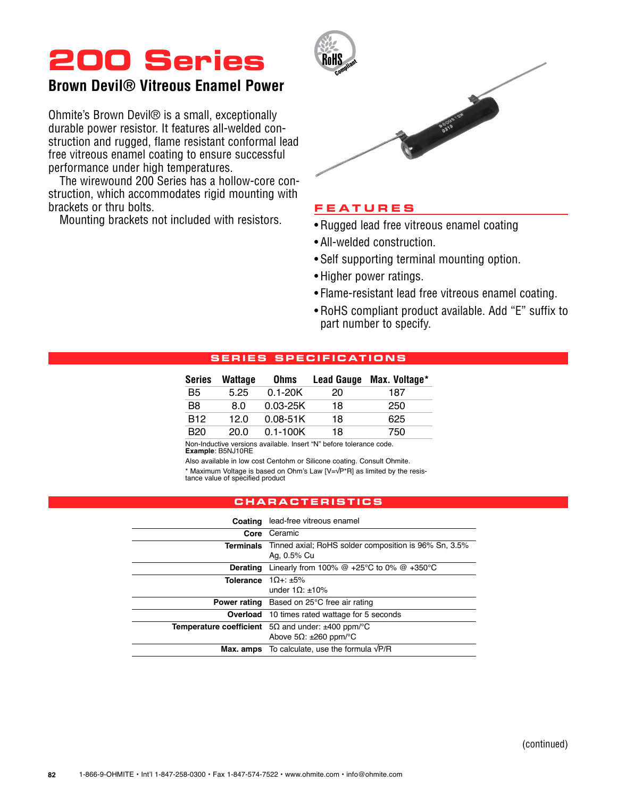## **200 Series**

### **Brown Devil® Vitreous Enamel Power**

Ohmite's Brown Devil® is a small, exceptionally durable power resistor. It features all-welded construction and rugged, flame resistant conformal lead free vitreous enamel coating to ensure successful performance under high temperatures.

The wirewound 200 Series has a hollow-core construction, which accommodates rigid mounting with brackets or thru bolts.

Mounting brackets not included with resistors.



### **Feature s**

- Rugged lead free vitreous enamel coating
- All-welded construction.
- • Self supporting terminal mounting option.
- Higher power ratings.
- Flame-resistant lead free vitreous enamel coating.
- • RoHS compliant product available. Add "E" suffix to part number to specify.

### **S ERIE S SP ECI F ICATI ONS**

| <b>Series</b>  | Wattage | <b>Ohms</b>  | <b>Lead Gauge</b> | Max. Voltage* |
|----------------|---------|--------------|-------------------|---------------|
| B5             | 5.25    | $0.1 - 20K$  | 20                | 187           |
| B <sub>8</sub> | 8.0     | $0.03 - 25K$ | 18                | 250           |
| <b>B12</b>     | 12.0    | $0.08 - 51K$ | 18                | 625           |
| B20            | 20.0    | $0.1 - 100K$ | 18                | 750           |

Non-Inductive versions available. Insert "N" before tolerance code. **Example**: B5NJ10RE

Also available in low cost Centohm or Silicone coating. Consult Ohmite.

\* Maximum Voltage is based on Ohm's Law [V=√P\*R] as limited by the resistance value of specified product

### **characteri s tic s**

|                            | <b>Coating</b> lead-free vitreous enamel                                              |  |  |  |  |  |
|----------------------------|---------------------------------------------------------------------------------------|--|--|--|--|--|
|                            |                                                                                       |  |  |  |  |  |
| Core                       | Ceramic                                                                               |  |  |  |  |  |
|                            | <b>Terminals</b> Tinned axial: RoHS solder composition is 96% Sn, 3.5%<br>Ag. 0.5% Cu |  |  |  |  |  |
| Derating                   | Linearly from 100% $@+25^{\circ}C$ to 0% $@+350^{\circ}C$                             |  |  |  |  |  |
| Tolerance $1\Omega + 15\%$ |                                                                                       |  |  |  |  |  |
|                            | under $10 \cdot +10\%$                                                                |  |  |  |  |  |
|                            | <b>Power rating</b> Based on 25°C free air rating                                     |  |  |  |  |  |
|                            | <b>Overload</b> 10 times rated wattage for 5 seconds                                  |  |  |  |  |  |
|                            | <b>Temperature coefficient</b> $5\Omega$ and under: $\pm 400$ ppm/°C                  |  |  |  |  |  |
|                            | Above 5Ω: $±260$ ppm/ $°C$                                                            |  |  |  |  |  |
|                            | <b>Max. amps</b> To calculate, use the formula $\sqrt{P/R}$                           |  |  |  |  |  |